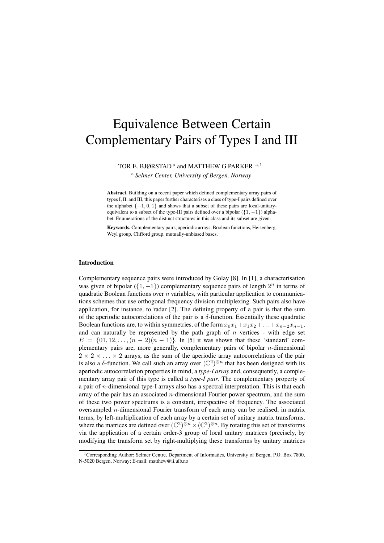# Equivalence Between Certain Complementary Pairs of Types I and III

TOR E. BJØRSTAD<sup>a</sup> and MATTHEW G PARKER  $a,1$ 

<sup>a</sup> *Selmer Center, University of Bergen, Norway*

Abstract. Building on a recent paper which defined complementary array pairs of types I, II, and III, this paper further characterises a class of type-I pairs defined over the alphabet  $\{-1, 0, 1\}$  and shows that a subset of these pairs are local-unitaryequivalent to a subset of the type-III pairs defined over a bipolar  $({1, -1})$  alphabet. Enumerations of the distinct structures in this class and its subset are given.

Keywords. Complementary pairs, aperiodic arrays, Boolean functions, Heisenberg-Weyl group, Clifford group, mutually-unbiased bases.

#### Introduction

Complementary sequence pairs were introduced by Golay [8]. In [1], a characterisation was given of bipolar  $({1, -1})$  complementary sequence pairs of length  $2^n$  in terms of quadratic Boolean functions over  $n$  variables, with particular application to communications schemes that use orthogonal frequency division multiplexing. Such pairs also have application, for instance, to radar [2]. The defining property of a pair is that the sum of the aperiodic autocorrelations of the pair is a  $\delta$ -function. Essentially these quadratic Boolean functions are, to within symmetries, of the form  $x_0x_1+x_1x_2+\ldots+x_{n-2}x_{n-1}$ , and can naturally be represented by the path graph of  $n$  vertices - with edge set  $E = \{01, 12, \ldots, (n-2)(n-1)\}\.$  In [5] it was shown that these 'standard' complementary pairs are, more generally, complementary pairs of bipolar n-dimensional  $2 \times 2 \times \ldots \times 2$  arrays, as the sum of the aperiodic array autocorrelations of the pair is also a  $\delta$ -function. We call such an array over  $(\mathbb{C}^2)^{\otimes n}$  that has been designed with its aperiodic autocorrelation properties in mind, a *type-I array* and, consequently, a complementary array pair of this type is called a *type-I pair*. The complementary property of a pair of  $n$ -dimensional type-I arrays also has a spectral interpretation. This is that each array of the pair has an associated n-dimensional Fourier power spectrum, and the sum of these two power spectrums is a constant, irrespective of frequency. The associated oversampled n-dimensional Fourier transform of each array can be realised, in matrix terms, by left-multiplication of each array by a certain set of unitary matrix transforms, where the matrices are defined over  $(\mathbb{C}^2)^{\otimes n} \times (\mathbb{C}^2)^{\otimes n}$ . By rotating this set of transforms via the application of a certain order-3 group of local unitary matrices (precisely, by modifying the transform set by right-multiplying these transforms by unitary matrices

<sup>&</sup>lt;sup>1</sup>Corresponding Author: Selmer Centre, Department of Informatics, University of Bergen, P.O. Box 7800, N-5020 Bergen, Norway; E-mail: matthew@ii.uib.no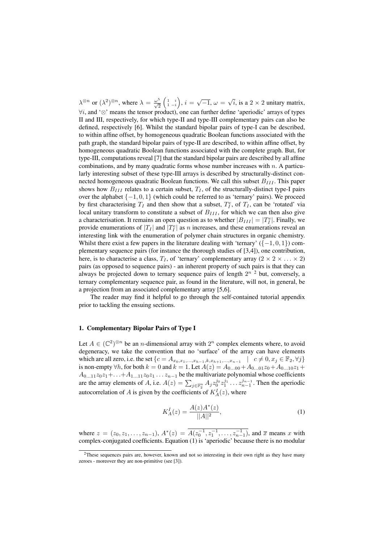$\lambda^{\otimes n}$  or  $(\lambda^2)^{\otimes n}$ , where  $\lambda = \frac{\omega^5}{\sqrt{2}} \left( \begin{matrix} 1 & i \\ 1 & -i \end{matrix} \right)$ ,  $i = \sqrt{-1}$ ,  $\omega =$ √ i, is a  $2 \times 2$  unitary matrix,  $\forall i$ , and ' $\otimes$ ' means the tensor product), one can further define 'aperiodic' arrays of types II and III, respectively, for which type-II and type-III complementary pairs can also be defined, respectively [6]. Whilst the standard bipolar pairs of type-I can be described, to within affine offset, by homogeneous quadratic Boolean functions associated with the path graph, the standard bipolar pairs of type-II are described, to within affine offset, by homogeneous quadratic Boolean functions associated with the complete graph. But, for type-III, computations reveal [7] that the standard bipolar pairs are described by all affine combinations, and by many quadratic forms whose number increases with  $n$ . A particularly interesting subset of these type-III arrays is described by structurally-distinct connected homogeneous quadratic Boolean functions. We call this subset  $B_{III}$ . This paper shows how  $B_{III}$  relates to a certain subset,  $T<sub>I</sub>$ , of the structurally-distinct type-I pairs over the alphabet  $\{-1, 0, 1\}$  (which could be referred to as 'ternary' pairs). We proceed by first characterising  $T_I$  and then show that a subset,  $T_I^e$ , of  $T_I$ , can be 'rotated' via local unitary transform to constitute a subset of  $B<sub>III</sub>$ , for which we can then also give a characterisation. It remains an open question as to whether  $|B_{III}| = |T_I^e|$ . Finally, we provide enumerations of  $|T_I|$  and  $|T_I^e|$  as *n* increases, and these enumerations reveal an interesting link with the enumeration of polymer chain structures in organic chemistry. Whilst there exist a few papers in the literature dealing with 'ternary'  $({-1, 0, 1})$  complementary sequence pairs (for instance the thorough studies of [3,4]), one contribution, here, is to characterise a class,  $T_I$ , of 'ternary' complementary array  $(2 \times 2 \times \ldots \times 2)$ pairs (as opposed to sequence pairs) - an inherent property of such pairs is that they can always be projected down to ternary sequence pairs of length  $2^{n}$  <sup>2</sup> but, conversely, a ternary complementary sequence pair, as found in the literature, will not, in general, be a projection from an associated complementary array [5,6].

The reader may find it helpful to go through the self-contained tutorial appendix prior to tackling the ensuing sections.

## 1. Complementary Bipolar Pairs of Type I

Let  $A \in (\mathbb{C}^2)^{\otimes n}$  be an *n*-dimensional array with  $2^n$  complex elements where, to avoid degeneracy, we take the convention that no 'surface' of the array can have elements which are all zero, i.e. the set  $\{c = A_{x_0, x_1, ..., x_{h-1}, k, x_{h+1}, ..., x_{n-1}} \mid c \neq 0, x_j \in \mathbb{F}_2, \forall j\}$ is non-empty  $\forall h$ , for both  $k = 0$  and  $k = 1$ . Let  $A(z) = A_{0...00} + A_{0...01}z_0 + A_{0...10}z_1 +$  $A_{0...11}z_0z_1+\ldots+A_{1...11}z_0z_1\ldots z_{n-1}$  be the multivariate polynomial whose coefficients are the array elements of A, i.e.  $A(z) = \sum_{j \in \mathbb{F}_2^n} A_j z_0^{j_0} z_1^{j_1} \dots z_{n-1}^{j_{n-1}}$ . Then the aperiodic autocorrelation of A is given by the coefficients of  $K_A^I(z)$ , where

$$
K_A^I(z) = \frac{A(z)A^*(z)}{||A||^2},\tag{1}
$$

where  $z = (z_0, z_1, \ldots, z_{n-1}), A^*(z) = \overline{A(z_0^{-1}, z_1^{-1}, \ldots, z_{n-1}^{-1})}$ , and  $\overline{x}$  means x with complex-conjugated coefficients. Equation (1) is 'aperiodic' because there is no modular

<sup>&</sup>lt;sup>2</sup>These sequences pairs are, however, known and not so interesting in their own right as they have many zeroes - moreover they are non-primitive (see [3]).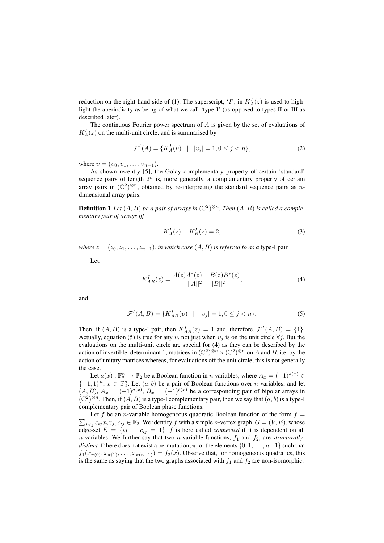reduction on the right-hand side of (1). The superscript, '*I*', in  $K_A^I(z)$  is used to highlight the aperiodicity as being of what we call 'type-I' (as opposed to types II or III as described later).

The continuous Fourier power spectrum of  $A$  is given by the set of evaluations of  $K_A^I(z)$  on the multi-unit circle, and is summarised by

$$
\mathcal{F}^{I}(A) = \{ K^{I}_{A}(v) \mid |v_{j}| = 1, 0 \le j < n \},\tag{2}
$$

where  $v = (v_0, v_1, \ldots, v_{n-1}).$ 

As shown recently [5], the Golay complementary property of certain 'standard' sequence pairs of length  $2^n$  is, more generally, a complementary property of certain array pairs in  $(\mathbb{C}^2)^{\otimes n}$ , obtained by re-interpreting the standard sequence pairs as ndimensional array pairs.

**Definition 1** Let  $(A, B)$  be a pair of arrays in  $(\mathbb{C}^2)^{\otimes n}$ . Then  $(A, B)$  is called a comple*mentary pair of arrays iff*

$$
K_A^I(z) + K_B^I(z) = 2,
$$
\n(3)

*where*  $z = (z_0, z_1, \ldots, z_{n-1})$ *, in which case*  $(A, B)$  *is referred to as a type-I pair.* 

Let,

$$
K_{AB}^I(z) = \frac{A(z)A^*(z) + B(z)B^*(z)}{||A||^2 + ||B||^2},\tag{4}
$$

and

$$
\mathcal{F}^{I}(A,B) = \{ K_{AB}^{I}(v) \mid |v_j| = 1, 0 \le j < n \}. \tag{5}
$$

Then, if  $(A, B)$  is a type-I pair, then  $K_{AB}^I(z) = 1$  and, therefore,  $\mathcal{F}^I(A, B) = \{1\}$ . Actually, equation (5) is true for any  $v$ , not just when  $v_j$  is on the unit circle  $\forall j$ . But the evaluations on the multi-unit circle are special for (4) as they can be described by the action of invertible, determinant 1, matrices in  $(\mathbb{C}^2)^{\otimes n} \times (\mathbb{C}^2)^{\otimes n}$  on A and B, i.e. by the action of unitary matrices whereas, for evaluations off the unit circle, this is not generally the case.

Let  $a(x): \mathbb{F}_2^n \to \mathbb{F}_2$  be a Boolean function in *n* variables, where  $A_x = (-1)^{a(x)} \in$  $\{-1,1\}^n$ ,  $x \in \mathbb{F}_2^n$ . Let  $(a, b)$  be a pair of Boolean functions over n variables, and let  $(A, B), A_x = (-1)^{a(x)}, B_x = (-1)^{b(x)}$  be a corresponding pair of bipolar arrays in  $(\mathbb{C}^2)^{\otimes n}$ . Then, if  $(A, B)$  is a type-I complementary pair, then we say that  $(a, b)$  is a type-I complementary pair of Boolean phase functions.

 $\sum_{i < j} c_{ij} x_i x_j, c_{ij} \in \mathbb{F}_2$ . We identify f with a simple *n*-vertex graph,  $G = (V, E)$ . whose Let f be an *n*-variable homogeneous quadratic Boolean function of the form  $f =$ edge-set  $E = \{ij \mid c_{ij} = 1\}$ .  $f$  is here called *connected* if it is dependent on all *n* variables. We further say that two *n*-variable functions,  $f_1$  and  $f_2$ , are *structurallydistinct* if there does not exist a permutation,  $\pi$ , of the elements  $\{0, 1, \ldots, n-1\}$  such that  $f_1(x_{\pi(0)}, x_{\pi(1)}, \ldots, x_{\pi(n-1)}) = f_2(x)$ . Observe that, for homogeneous quadratics, this is the same as saying that the two graphs associated with  $f_1$  and  $f_2$  are non-isomorphic.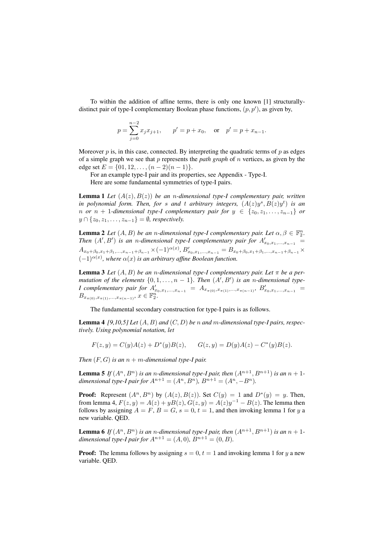To within the addition of affine terms, there is only one known [1] structurallydistinct pair of type-I complementary Boolean phase functions,  $(p, p')$ , as given by,

$$
p = \sum_{j=0}^{n-2} x_j x_{j+1}
$$
,  $p' = p + x_0$ , or  $p' = p + x_{n-1}$ .

Moreover  $p$  is, in this case, connected. By interpreting the quadratic terms of  $p$  as edges of a simple graph we see that p represents the *path graph* of n vertices, as given by the edge set  $E = \{01, 12, \ldots, (n-2)(n-1)\}.$ 

For an example type-I pair and its properties, see Appendix - Type-I. Here are some fundamental symmetries of type-I pairs.

**Lemma 1** Let  $(A(z), B(z))$  be an *n*-dimensional type-I complementary pair, written in polynomial form. Then, for s and t arbitrary integers,  $(A(z)y^s, B(z)y^t)$  is an *n or*  $n + 1$ -dimensional type-I complementary pair for  $y \in \{z_0, z_1, \ldots, z_{n-1}\}$  or  $y \cap \{z_0, z_1, \ldots, z_{n-1}\} = \emptyset$ , respectively.

**Lemma 2** Let  $(A, B)$  be an *n*-dimensional type-I complementary pair. Let  $\alpha, \beta \in \mathbb{F}_2^n$ . *Then*  $(A', B')$  *is an n-dimensional type-I complementary pair for*  $A'_{x_0, x_1, \ldots, x_{n-1}}$  =  $A_{x_0+\beta_0,x_1+\beta_1,...,x_{n-1}+\beta_{n-1}} \times (-1)^{\alpha(x)}, B'_{x_0,x_1,...,x_{n-1}} = B_{x_0+\beta_0,x_1+\beta_1,...,x_{n-1}+\beta_{n-1}} \times$  $(-1)^{\alpha(x)}$ , where  $\alpha(x)$  *is an arbitrary affine Boolean function.* 

**Lemma 3** *Let*  $(A, B)$  *be an n-dimensional type-I complementary pair. Let* π *be a permutation of the elements*  $\{0, 1, \ldots, n-1\}$ *. Then*  $(A', B')$  *is an n-dimensional type-I* complementary pair for  $A'_{x_0,x_1,...,x_{n-1}} = A_{x_{\pi(0)},x_{\pi(1)},...,x_{\pi(n-1)}}, B'_{x_0,x_1,...,x_{n-1}} =$  $B_{x_{\pi(0)},x_{\pi(1)},...,x_{\pi(n-1)}}, x \in \mathbb{F}_2^n.$ 

The fundamental secondary construction for type-I pairs is as follows.

Lemma 4 *[9,10,5] Let* (A, B) *and* (C, D) *be* n *and* m*-dimensional type-I pairs, respectively. Using polynomial notation, let*

$$
F(z, y) = C(y)A(z) + D^*(y)B(z), \qquad G(z, y) = D(y)A(z) - C^*(y)B(z).
$$

*Then*  $(F, G)$  *is an*  $n + m$ *-dimensional type-I pair.* 

**Lemma 5** *If*  $(A^n, B^n)$  *is an n-dimensional type-I pair, then*  $(A^{n+1}, B^{n+1})$  *is an n* + 1*dimensional type-I pair for*  $A^{n+1} = (A^n, B^n)$ ,  $B^{n+1} = (A^n, -B^n)$ .

**Proof:** Represent  $(A^n, B^n)$  by  $(A(z), B(z))$ . Set  $C(y) = 1$  and  $D^*(y) = y$ . Then, from lemma 4,  $F(z, y) = A(z) + yB(z)$ ,  $G(z, y) = A(z)y^{-1} - B(z)$ . The lemma then follows by assigning  $A = F$ ,  $B = G$ ,  $s = 0$ ,  $t = 1$ , and then invoking lemma 1 for y a new variable. QED.

**Lemma 6** *If*  $(A^n, B^n)$  *is an n-dimensional type-I pair, then*  $(A^{n+1}, B^{n+1})$  *is an n* + 1*dimensional type-I pair for*  $A^{n+1} = (A, 0)$ ,  $B^{n+1} = (0, B)$ .

**Proof:** The lemma follows by assigning  $s = 0$ ,  $t = 1$  and invoking lemma 1 for y a new variable. QED.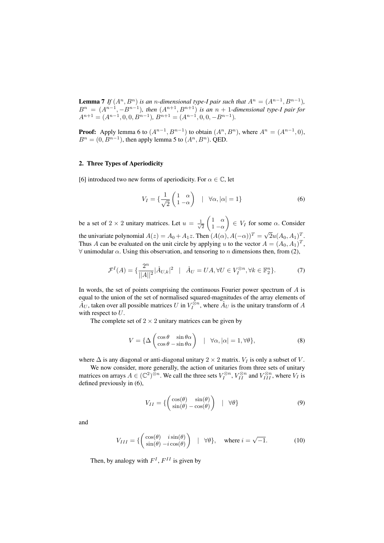**Lemma 7** *If*  $(A^n, B^n)$  *is an n-dimensional type-I pair such that*  $A^n = (A^{n-1}, B^{n-1})$ *,*  $B^{n} = (A^{n-1}, -B^{n-1})$ , then  $(A^{n+1}, B^{n+1})$  *is an*  $n + 1$ -dimensional type-I pair for  $A^{n+1} = (A^{n-1}, 0, 0, B^{n-1}), B^{n+1} = (A^{n-1}, 0, 0, -B^{n-1}).$ 

**Proof:** Apply lemma 6 to  $(A^{n-1}, B^{n-1})$  to obtain  $(A^n, B^n)$ , where  $A^n = (A^{n-1}, 0)$ ,  $B<sup>n</sup> = (0, B<sup>n-1</sup>)$ , then apply lemma 5 to  $(A<sup>n</sup>, B<sup>n</sup>)$ . QED.

## 2. Three Types of Aperiodicity

[6] introduced two new forms of aperiodicity. For  $\alpha \in \mathbb{C}$ , let

$$
V_I = \left\{ \frac{1}{\sqrt{2}} \begin{pmatrix} 1 & \alpha \\ 1 & -\alpha \end{pmatrix} \mid \forall \alpha, |\alpha| = 1 \right\}
$$
 (6)

be a set of 2  $\times$  2 unitary matrices. Let  $u = \frac{1}{\sqrt{2}}$ 2  $\begin{pmatrix} 1 & \alpha \end{pmatrix}$  $1 - \alpha$  $\Big) \in V_I$  for some  $\alpha$ . Consider the univariate polynomial  $A(z) = A_0 + A_1 z$ . Then  $(A(\alpha), A(-\alpha))^T = \sqrt{2\pi i z}$  $\overline{2}u(A_0,A_1)^T.$ Thus A can be evaluated on the unit circle by applying u to the vector  $A = (A_0, A_1)^T$ ,  $\forall$  unimodular  $\alpha$ . Using this observation, and tensoring to n dimensions then, from (2),

$$
\mathcal{F}^I(A) = \left\{ \frac{2^n}{||A||^2} |\hat{A}_{U,k}|^2 \mid \hat{A}_U = UA, \forall U \in V_I^{\otimes n}, \forall k \in \mathbb{F}_2^n \right\}.
$$
 (7)

In words, the set of points comprising the continuous Fourier power spectrum of  $A$  is equal to the union of the set of normalised squared-magnitudes of the array elements of  $\hat{A}_U$ , taken over all possible matrices U in  $V_I^{\otimes n}$ , where  $\hat{A}_U$  is the unitary transform of A with respect to  $U$ .

The complete set of  $2 \times 2$  unitary matrices can be given by

$$
V = \{ \Delta \begin{pmatrix} \cos \theta & \sin \theta \alpha \\ \cos \theta & -\sin \theta \alpha \end{pmatrix} \quad | \quad \forall \alpha, |\alpha| = 1, \forall \theta \},
$$
 (8)

where  $\Delta$  is any diagonal or anti-diagonal unitary 2 × 2 matrix.  $V_I$  is only a subset of V.

We now consider, more generally, the action of unitaries from three sets of unitary matrices on arrays  $A \in (\mathbb{C}^2)^{\otimes n}$ . We call the three sets  $V_I^{\otimes n}$ ,  $V_{II}^{\otimes n}$  and  $V_{III}^{\otimes n}$ , where  $V_I$  is defined previously in (6),

$$
V_{II} = \left\{ \begin{pmatrix} \cos(\theta) & \sin(\theta) \\ \sin(\theta) - \cos(\theta) \end{pmatrix} \quad | \quad \forall \theta \right\} \tag{9}
$$

and

$$
V_{III} = \left\{ \begin{pmatrix} \cos(\theta) & i\sin(\theta) \\ \sin(\theta) - i\cos(\theta) \end{pmatrix} \mid \forall \theta \right\}, \text{ where } i = \sqrt{-1}.
$$
 (10)

Then, by analogy with  $F<sup>I</sup>$ ,  $F<sup>II</sup>$  is given by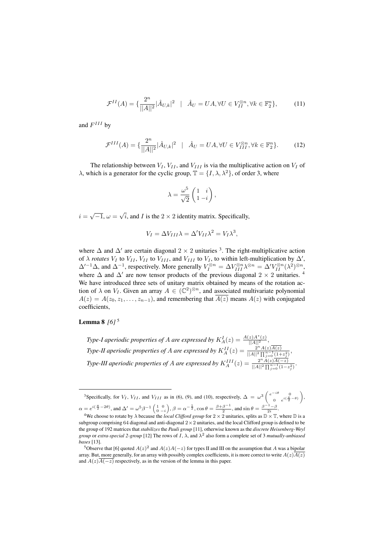$$
\mathcal{F}^{II}(A) = \{ \frac{2^n}{||A||^2} |\hat{A}_{U,k}|^2 \mid \hat{A}_U = UA, \forall U \in V_{II}^{\otimes n}, \forall k \in \mathbb{F}_2^n \},\tag{11}
$$

and  $F^{III}$  by

$$
\mathcal{F}^{III}(A) = \{ \frac{2^n}{||A||^2} |\hat{A}_{U,k}|^2 \mid \hat{A}_U = UA, \forall U \in V_{III}^{\otimes n}, \forall k \in \mathbb{F}_2^n \}. \tag{12}
$$

The relationship between  $V_I$ ,  $V_{II}$ , and  $V_{III}$  is via the multiplicative action on  $V_I$  of  $\lambda$ , which is a generator for the cyclic group,  $\mathbb{T} = \{I, \lambda, \lambda^2\}$ , of order 3, where

$$
\lambda = \frac{\omega^5}{\sqrt{2}} \begin{pmatrix} 1 & i \\ 1 & -i \end{pmatrix},
$$

 $i = \sqrt{-1}, \omega =$ √ i, and I is the  $2 \times 2$  identity matrix. Specifically,

$$
V_I = \Delta V_{III} \lambda = \Delta' V_{II} \lambda^2 = V_I \lambda^3,
$$

where  $\Delta$  and  $\Delta'$  are certain diagonal 2 × 2 unitaries <sup>3</sup>. The right-multiplicative action of  $\lambda$  *rotates*  $V_I$  to  $V_{II}$ ,  $V_{II}$  to  $V_{III}$ , and  $V_{III}$  to  $V_I$ , to within left-multiplication by  $\Delta'$ ,  $\Delta'^{-1}\Delta$ , and  $\Delta^{-1}$ , respectively. More generally  $V_I^{\otimes n} = \Delta V_{III}^{\otimes n} \lambda^{\otimes n} = \Delta' V_{II}^{\otimes n} (\lambda^2)^{\otimes n}$ , where  $\Delta$  and  $\Delta'$  are now tensor products of the previous diagonal 2 × 2 unitaries. <sup>4</sup> We have introduced three sets of unitary matrix obtained by means of the rotation action of  $\lambda$  on  $V_I$ . Given an array  $A \in (\mathbb{C}^2)^{\otimes n}$ , and associated multivariate polynomial  $A(z) = A(z_0, z_1, \ldots, z_{n-1})$ , and remembering that  $\overline{A(z)}$  means  $A(z)$  with conjugated coefficients,

Lemma 8 *[6]* <sup>5</sup>

*Type-I aperiodic properties of A are expressed by*  $K_A^I(z) = \frac{A(z)A^*(z)}{||A||^2}$ , *Type-II aperiodic properties of A are expressed by*  $K_A^{II}(z) = \frac{2^n A(z) \overline{A(z)}}{\|A\|^2 \prod_{i=1}^{n-1} (1+\|z_i\|^2)}$  $\frac{2^{\Box}A(z)A(z)}{||A||^2 \prod_{j=0}^{n-1} (1+z_j^2)},$ *Type-III aperiodic properties of A are expressed by*  $K_A^{III}(z) = \frac{2^n A(z) \overline{A(-z)}}{|A||^2 \prod_{i=1}^{n-1} (1-z)^i}$  $\frac{2^{\Box}A(z)A(-z)}{||A||^2 \prod_{j=0}^{n-1} (1-z_j^2)}$ 

<sup>&</sup>lt;sup>3</sup>Specifically, for  $V_I$ ,  $V_{II}$ , and  $V_{III}$  as in (6), (9), and (10), respectively,  $\Delta = \omega^3 \left( \frac{e^{-i\theta}}{2} \right)^{1/3}$ 0  $e^{i(\frac{\pi}{2}-\theta)}$  $\bigg)$  $\alpha = e^{i(\frac{\pi}{2}-2\theta)}$ , and  $\Delta' = \omega^5 \beta^{-1} \begin{pmatrix} 1 & 0 \\ 0 & -i \end{pmatrix}$ ,  $\beta = \alpha^{-\frac{1}{2}}$ ,  $\cos \theta = \frac{\beta + \beta^{-1}}{2}$ , and  $\sin \theta = \frac{\beta^{-1} - \beta}{2i}$ .

<sup>&</sup>lt;sup>4</sup>We choose to rotate by  $\lambda$  because the *local Clifford group* for  $2 \times 2$  unitaries, splits as  $\mathbb{D} \times \mathbb{T}$ , where  $\mathbb{D}$  is a subgroup comprising 64 diagonal and anti-diagonal  $2 \times 2$  unitaries, and the local Clifford group is defined to be the group of 192 matrices that *stabilizes* the *Pauli group* [11], otherwise known as the *discrete Heisenberg-Weyl group* or *extra-special 2-group* [12] The rows of I, λ, and λ 2 also form a complete set of 3 *mutually-unbiased bases* [13].

<sup>&</sup>lt;sup>5</sup>Observe that [6] quoted  $A(z)^2$  and  $A(z)A(-z)$  for types II and III on the assumption that A was a bipolar array. But, more generally, for an array with possibly complex coefficients, it is more correct to write  $A(z)\overline{A(z)}$ and  $A(z)\overline{A(-z)}$  respectively, as in the version of the lemma in this paper.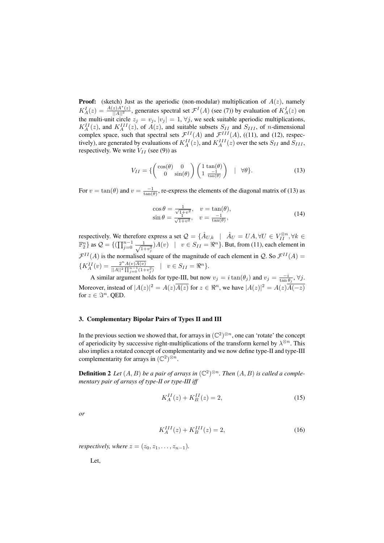**Proof:** (sketch) Just as the aperiodic (non-modular) multiplication of  $A(z)$ , namely  $K_A^I(z) = \frac{A(z)A^*(z)}{||A||^2}$ , generates spectral set  $\mathcal{F}^I(A)$  (see (7)) by evaluation of  $K_A^I(z)$  on the multi-unit circle  $z_j = v_j$ ,  $|v_j| = 1$ ,  $\forall j$ , we seek suitable aperiodic multiplications,  $K_A^{II}(z)$ , and  $K_A^{III}(z)$ , of  $A(z)$ , and suitable subsets  $S_{II}$  and  $S_{III}$ , of *n*-dimensional complex space, such that spectral sets  $\mathcal{F}^{II}(A)$  and  $\mathcal{F}^{III}(A)$ , ((11), and (12), respectively), are generated by evaluations of  $K_A^{II}(z)$ , and  $K_A^{III}(z)$  over the sets  $S_{II}$  and  $S_{III}$ , respectively. We write  $V_{II}$  (see (9)) as

$$
V_{II} = \left\{ \begin{pmatrix} \cos(\theta) & 0 \\ 0 & \sin(\theta) \end{pmatrix} \begin{pmatrix} 1 & \tan(\theta) \\ 1 & \frac{-1}{\tan(\theta)} \end{pmatrix} \quad | \quad \forall \theta \right\}.
$$
 (13)

For  $v = \tan(\theta)$  and  $v = \frac{-1}{\tan(\theta)}$ , re-express the elements of the diagonal matrix of (13) as

$$
\cos \theta = \frac{1}{\sqrt{1+v^2}}, \quad v = \tan(\theta),
$$
  
\n
$$
\sin \theta = \frac{1}{\sqrt{1+v^2}}, \quad v = \frac{-1}{\tan(\theta)},
$$
\n(14)

respectively. We therefore express a set  $\mathcal{Q} = \{ \hat{A}_{U,k} \mid \hat{A}_U = UA, \forall U \in V_{II}^{\otimes n}, \forall k \in$  $\mathbb{F}_2^n$  as  $\mathcal{Q} = \{(\prod_{j=0}^{n-1} \frac{1}{\sqrt{1-j}})$  $\frac{1}{(1+v_j^2)}A(v)$  |  $v \in S_{II} = \Re^n$  }. But, from (11), each element in  $\mathcal{F}^{II}(A)$  is the normalised square of the magnitude of each element in Q. So  $\mathcal{F}^{II}(A)$  =  $\{K_A^{II}(v)=\frac{2^nA(v)\overline{A(v)}}{\|A\|^2\prod_{n=1}^{n-1}(1+\)}\}$  $\frac{2^n A(v) A(v)}{||A||^2 \prod_{j=0}^{n-1} (1+v_j^2)}$  |  $v \in S_{II} = \Re^n$  }.

A similar argument holds for type-III, but now  $v_j = i \tan(\theta_j)$  and  $v_j = \frac{-i}{\tan \theta_j}$ ,  $\forall j$ . Moreover, instead of  $|A(z)|^2 = A(z) \overline{A(z)}$  for  $z \in \Re^n$ , we have  $|A(z)|^2 = A(z) \overline{A(-z)}$ for  $z \in \mathbb{S}^n$ . OED.

#### 3. Complementary Bipolar Pairs of Types II and III

In the previous section we showed that, for arrays in  $(\mathbb{C}^2)^{\otimes n}$ , one can 'rotate' the concept of aperiodicity by successive right-multiplications of the transform kernel by  $\lambda^{\otimes n}$ . This also implies a rotated concept of complementarity and we now define type-II and type-III complementarity for arrays in  $(\mathbb{C}^2)^{\otimes n}$ .

**Definition 2** Let  $(A, B)$  be a pair of arrays in  $(\mathbb{C}^2)^{\otimes n}$ . Then  $(A, B)$  is called a comple*mentary pair of arrays of type-II or type-III iff*

$$
K_A^{II}(z) + K_B^{II}(z) = 2,
$$
\n(15)

*or*

$$
K_A^{III}(z) + K_B^{III}(z) = 2,
$$
\n(16)

*respectively, where*  $z = (z_0, z_1, \ldots, z_{n-1})$ *.* 

Let,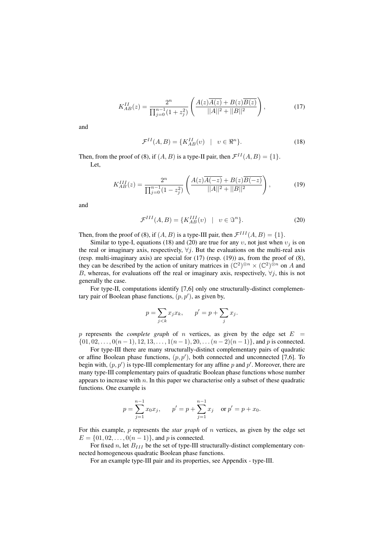$$
K_{AB}^{II}(z) = \frac{2^n}{\prod_{j=0}^{n-1} (1+z_j^2)} \left( \frac{A(z)\overline{A(z)} + B(z)\overline{B(z)}}{||A||^2 + ||B||^2} \right),\tag{17}
$$

and

$$
\mathcal{F}^{II}(A,B) = \{ K_{AB}^{II}(v) \mid v \in \Re^n \}.
$$
 (18)

Then, from the proof of (8), if  $(A, B)$  is a type-II pair, then  $\mathcal{F}^{II}(A, B) = \{1\}.$ Let,

$$
K_{AB}^{III}(z) = \frac{2^n}{\prod_{j=0}^{n-1} (1-z_j^2)} \left( \frac{A(z)\overline{A(-z)} + B(z)\overline{B(-z)}}{\|A\|^2 + \|B\|^2} \right),\tag{19}
$$

and

$$
\mathcal{F}^{III}(A,B) = \{K_{AB}^{III}(v) \mid v \in \mathcal{F}^n\}.
$$
 (20)

Then, from the proof of (8), if  $(A, B)$  is a type-III pair, then  $\mathcal{F}^{III}(A, B) = \{1\}$ .

Similar to type-I, equations (18) and (20) are true for any  $v$ , not just when  $v_i$  is on the real or imaginary axis, respectively,  $\forall j$ . But the evaluations on the multi-real axis (resp. multi-imaginary axis) are special for (17) (resp. (19)) as, from the proof of (8), they can be described by the action of unitary matrices in  $(\mathbb{C}^2)^{\otimes n} \times (\mathbb{C}^2)^{\otimes n}$  on A and B, whereas, for evaluations off the real or imaginary axis, respectively,  $\forall j$ , this is not generally the case.

For type-II, computations identify [7,6] only one structurally-distinct complementary pair of Boolean phase functions,  $(p, p')$ , as given by,

$$
p = \sum_{j < k} x_j x_k, \qquad p' = p + \sum_j x_j.
$$

p represents the *complete graph* of n vertices, as given by the edge set  $E =$  $\{01, 02, \ldots, 0(n-1), 12, 13, \ldots, 1(n-1), 20, \ldots (n-2)(n-1)\}\$ , and p is connected.

For type-III there are many structurally-distinct complementary pairs of quadratic or affine Boolean phase functions,  $(p, p')$ , both connected and unconnected [7,6]. To begin with,  $(p, p')$  is type-III complementary for any affine p and p'. Moreover, there are many type-III complementary pairs of quadratic Boolean phase functions whose number appears to increase with  $n$ . In this paper we characterise only a subset of these quadratic functions. One example is

$$
p = \sum_{j=1}^{n-1} x_0 x_j
$$
,  $p' = p + \sum_{j=1}^{n-1} x_j$  or  $p' = p + x_0$ .

For this example, p represents the *star graph* of n vertices, as given by the edge set  $E = \{01, 02, \ldots, 0(n-1)\}\$ , and p is connected.

For fixed n, let  $B_{III}$  be the set of type-III structurally-distinct complementary connected homogeneous quadratic Boolean phase functions.

For an example type-III pair and its properties, see Appendix - type-III.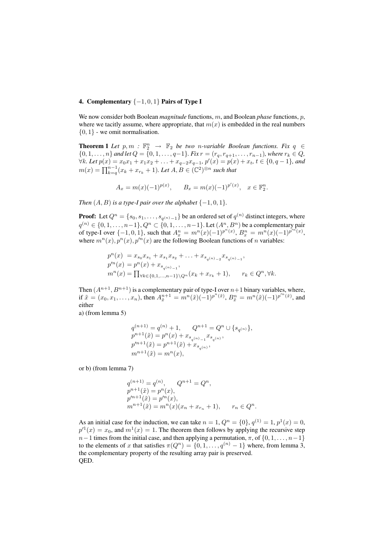## 4. Complementary  $\{-1,0,1\}$  Pairs of Type I

We now consider both Boolean *magnitude* functions, m, and Boolean *phase* functions, p, where we tacitly assume, where appropriate, that  $m(x)$  is embedded in the real numbers  $\{0, 1\}$  - we omit normalisation.

**Theorem 1** Let  $p, m : \mathbb{F}_2^n \to \mathbb{F}_2$  be two *n*-variable Boolean functions. Fix  $q \in$  ${0, 1, \ldots, n}$  *and let*  $Q = {0, 1, \ldots, q-1}$ *. Fix*  $r = (r_q, r_{q+1}, \ldots, r_{n-1})$ *, where*  $r_k \in Q$ *,*  $∀k. Let p(x) = x_0x_1 + x_1x_2 + ... + x_{q-2}x_{q-1}, p'(x) = p(x) + x_t, t ∈ {0, q-1}, and$  $m(x) = \prod_{k=q}^{n-1} (x_k + x_{r_k} + 1)$ *. Let*  $A, B \in (\mathbb{C}^2)^{\otimes n}$  *such that* 

$$
A_x = m(x)(-1)^{p(x)}, \qquad B_x = m(x)(-1)^{p'(x)}, \quad x \in \mathbb{F}_2^n.
$$

*Then*  $(A, B)$  *is a type-I pair over the alphabet*  $\{-1, 0, 1\}$ *.* 

**Proof:** Let  $Q^n = \{s_0, s_1, \ldots, s_{q^{(n)}-1}\}$  be an ordered set of  $q^{(n)}$  distinct integers, where  $q^{(n)} \in \{0, 1, \ldots, n-1\}$ ,  $Q^n \subset \{0, 1, \ldots, n-1\}$ . Let  $(A^n, B^n)$  be a complementary pair of type-I over  $\{-1, 0, 1\}$ , such that  $A_x^n = m^n(x)(-1)^{p^n(x)}$ ,  $B_x^n = m^n(x)(-1)^{p^m(x)}$ , where  $m^{n}(x)$ ,  $p^{n}(x)$ ,  $p'^{n}(x)$  are the following Boolean functions of *n* variables:

$$
p^{n}(x) = x_{s_0}x_{s_1} + x_{s_1}x_{s_2} + \ldots + x_{s_{q(n)}-2}x_{s_{q(n)}-1},
$$
  
\n
$$
p'^{n}(x) = p^{n}(x) + x_{s_{q(n)}-1},
$$
  
\n
$$
m^{n}(x) = \prod_{\forall k \in \{0,1,\ldots,n-1\} \backslash Q^{n}} (x_k + x_{r_k} + 1), \qquad r_k \in Q^n, \forall k.
$$

Then  $(A^{n+1}, B^{n+1})$  is a complementary pair of type-I over  $n+1$  binary variables, where, if  $\tilde{x} = (x_0, x_1, \dots, x_n)$ , then  $A_{\tilde{x}}^{n+1} = m^n(\tilde{x})(-1)^{p^n(\tilde{x})}$ ,  $B_{\tilde{x}}^n = m^n(\tilde{x})(-1)^{p'^n(\tilde{x})}$ , and either

a) (from lemma 5)

$$
q^{(n+1)} = q^{(n)} + 1, \qquad Q^{n+1} = Q^n \cup \{s_{q^{(n)}}\},
$$
  
\n
$$
p^{n+1}(\tilde{x}) = p^n(x) + x_{s_{q^{(n)}-1}} x_{s_{q^{(n)}}},
$$
  
\n
$$
p'^{n+1}(\tilde{x}) = p^{n+1}(\tilde{x}) + x_{s_{q^{(n)}}},
$$
  
\n
$$
m^{n+1}(\tilde{x}) = m^n(x),
$$

or b) (from lemma 7)

$$
q^{(n+1)} = q^{(n)}, \qquad Q^{n+1} = Q^n,
$$
  
\n
$$
p^{n+1}(\tilde{x}) = p^n(x),
$$
  
\n
$$
p'^{n+1}(\tilde{x}) = p'^n(x),
$$
  
\n
$$
m^{n+1}(\tilde{x}) = m^n(x)(x_n + x_{r_n} + 1), \qquad r_n \in Q^n.
$$

As an initial case for the induction, we can take  $n = 1$ ,  $Q^n = \{0\}$ ,  $q^{(1)} = 1$ ,  $p^1(x) = 0$ ,  $p^{1}(x) = x_0$ , and  $m^1(x) = 1$ . The theorem then follows by applying the recursive step  $n-1$  times from the initial case, and then applying a permutation,  $\pi$ , of  $\{0, 1, \ldots, n-1\}$ to the elements of x that satisfies  $\pi(Q^n) = \{0, 1, \ldots, q^{(n)} - 1\}$  where, from lemma 3, the complementary property of the resulting array pair is preserved. QED.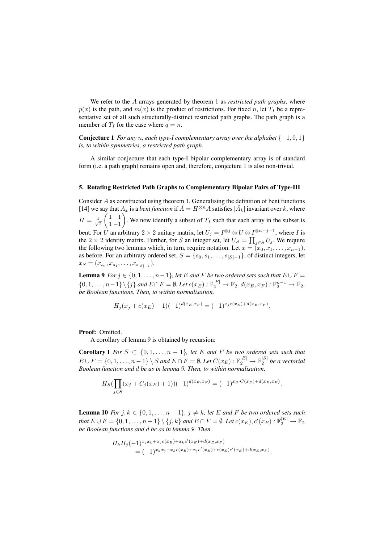We refer to the A arrays generated by theorem 1 as *restricted path graphs*, where  $p(x)$  is the path, and  $m(x)$  is the product of restrictions. For fixed n, let  $T_I$  be a representative set of all such structurally-distinct restricted path graphs. The path graph is a member of  $T_I$  for the case where  $q = n$ .

**Conjecture 1** *For any n, each type-I complementary array over the alphabet*  $\{-1, 0, 1\}$ *is, to within symmetries, a restricted path graph.*

A similar conjecture that each type-I bipolar complementary array is of standard form (i.e. a path graph) remains open and, therefore, conjecture 1 is also non-trivial.

#### 5. Rotating Restricted Path Graphs to Complementary Bipolar Pairs of Type-III

Consider  $A$  as constructed using theorem 1. Generalising the definition of bent functions [14] we say that  $A_x$  is a *bent function* if  $\hat{A} = H^{\otimes n}A$  satisfies  $|\hat{A}_k|$  invariant over k, where  $H = \frac{1}{\sqrt{2}}$ 2  $\begin{pmatrix} 1 & 1 \end{pmatrix}$  $1 - 1$ ). We now identify a subset of  $T_I$  such that each array in the subset is bent. For U an arbitrary 2  $\times$  2 unitary matrix, let  $U_j = I^{\otimes j} \otimes U \otimes I^{\otimes n-j-1}$ , where I is the 2  $\times$  2 identity matrix. Further, for S an integer set, let  $U_S = \prod_{j \in S} U_j$ . We require the following two lemmas which, in turn, require notation. Let  $x = (x_0, x_1, \ldots, x_{n-1}),$ as before. For an arbitrary ordered set,  $S = \{s_0, s_1, \ldots, s_{|S|-1}\}\$ , of distinct integers, let  $x_S = (x_{s_0}, x_{s_1}, \ldots, x_{s_{|S|-1}}).$ 

**Lemma 9** *For*  $j \in \{0, 1, \ldots, n-1\}$ *, let E and F be two ordered sets such that*  $E \cup F =$  $\{0, 1, \ldots, n-1\} \setminus \{j\}$  and  $E \cap F = \emptyset$ . Let  $c(x_E) : \mathbb{F}_2^{|E|} \to \mathbb{F}_2$ ,  $d(x_E, x_F) : \mathbb{F}_2^{n-1} \to \mathbb{F}_2$ , *be Boolean functions. Then, to within normalisation,*

$$
H_j(x_j + c(x_E) + 1)(-1)^{d(x_E, x_F)} = (-1)^{x_j c(x_E) + d(x_E, x_F)}.
$$

#### Proof: Omitted.

A corollary of lemma 9 is obtained by recursion:

**Corollary 1** *For*  $S \subset \{0, 1, \ldots, n-1\}$ *, let*  $E$  *and*  $F$  *be two ordered sets such that*  $E \cup F = \{0, 1, \ldots, n-1\} \setminus S$  and  $E \cap F = \emptyset$ . Let  $C(x_E) : \mathbb{F}_2^{|E|} \to \mathbb{F}_2^{|S|}$  be a vectorial *Boolean function and* d *be as in lemma 9. Then, to within normalisation,*

$$
H_S(\prod_{j \in S} (x_j + C_j(x_E) + 1))(-1)^{d(x_E, x_F)} = (-1)^{x_S \cdot C(x_E) + d(x_E, x_F)}.
$$

**Lemma 10** *For*  $j, k \in \{0, 1, \ldots, n-1\}, j \neq k$ , let *E* and *F be two ordered sets such that*  $E \cup F = \{0, 1, \ldots, n-1\} \setminus \{j, k\}$  and  $E \cap F = \emptyset$ . Let  $c(x_E), c'(x_E) : \mathbb{F}_2^{|E|} \to \mathbb{F}_2$ *be Boolean functions and* d *be as in lemma 9. Then*

$$
H_k H_j(-1)^{x_j x_k + x_j c(x_E) + x_k c'(x_E) + d(x_E, x_F)}
$$
  
= 
$$
(-1)^{x_k x_j + x_k c(x_E) + x_j c'(x_E) + c(x_E) c'(x_E) + d(x_E, x_F)}
$$
.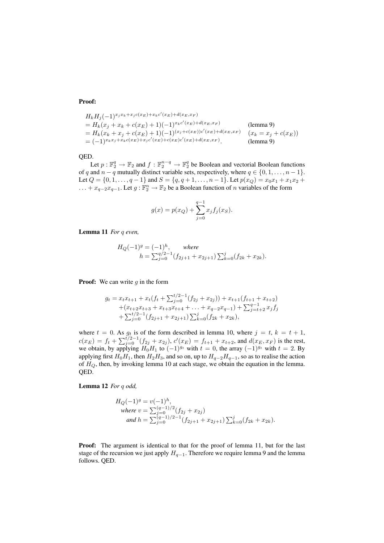#### Proof:

$$
H_k H_j(-1)^{x_j x_k + x_j c(x_E) + x_k c'(x_E) + d(x_E, x_F)}
$$
  
=  $H_k(x_j + x_k + c(x_E) + 1)(-1)^{x_k c'(x_E) + d(x_E, x_F)}$  (lemma 9)  
=  $H_k(x_k + x_j + c(x_E) + 1)(-1)^{(x_j + c(x_E))c'(x_E) + d(x_E, x_F)}$   $(x_k = x_j + c(x_E))$   
=  $(-1)^{x_k x_j + x_k c(x_E) + x_j c'(x_E) + c(x_E) c'(x_E) + d(x_E, x_F)}$  (lemma 9)

QED.

Let  $p: \mathbb{F}_2^q \to \mathbb{F}_2$  and  $f: \mathbb{F}_2^{n-q} \to \mathbb{F}_2^q$  be Boolean and vectorial Boolean functions of q and  $n - q$  mutually distinct variable sets, respectively, where  $q \in \{0, 1, \ldots, n - 1\}$ . Let  $Q = \{0, 1, \ldots, q - 1\}$  and  $S = \{q, q + 1, \ldots, n - 1\}$ . Let  $p(x_Q) = x_0x_1 + x_1x_2 +$ ... +  $x_{q-2}x_{q-1}$ . Let  $g: \mathbb{F}_2^n \to \mathbb{F}_2$  be a Boolean function of *n* variables of the form

$$
g(x) = p(x_Q) + \sum_{j=0}^{q-1} x_j f_j(x_S).
$$

Lemma 11 *For* q *even,*

$$
H_Q(-1)^g = (-1)^h, \quad where
$$
  
\n
$$
h = \sum_{j=0}^{q/2-1} (f_{2j+1} + x_{2j+1}) \sum_{k=0}^{j} (f_{2k} + x_{2k}).
$$

**Proof:** We can write  $q$  in the form

$$
g_t = x_t x_{t+1} + x_t (f_t + \sum_{j=0}^{t/2-1} (f_{2j} + x_{2j})) + x_{t+1} (f_{t+1} + x_{t+2})
$$
  
+ 
$$
(x_{t+2} x_{t+3} + x_{t+3} x_{t+4} + \ldots + x_{q-2} x_{q-1}) + \sum_{j=t+2}^{q-1} x_j f_j
$$
  
+ 
$$
\sum_{j=0}^{t/2-1} (f_{2j+1} + x_{2j+1}) \sum_{k=0}^j (f_{2k} + x_{2k}),
$$

where  $t = 0$ . As  $g_t$  is of the form described in lemma 10, where  $j = t$ ,  $k = t + 1$ ,  $c(x_E) = f_t + \sum_{j=0}^{t/2-1} (f_{2j} + x_{2j}), c'(x_E) = f_{t+1} + x_{t+2}$ , and  $d(x_E, x_F)$  is the rest, we obtain, by applying  $H_0H_1$  to  $(-1)^{g_t}$  with  $t = 0$ , the array  $(-1)^{g_t}$  with  $t = 2$ . By applying first  $H_0H_1$ , then  $H_2H_3$ , and so on, up to  $H_{q-2}H_{q-1}$ , so as to realise the action of  $H<sub>O</sub>$ , then, by invoking lemma 10 at each stage, we obtain the equation in the lemma. QED.

Lemma 12 *For* q *odd,*

$$
H_Q(-1)^g = v(-1)^h,
$$
  
where  $v = \sum_{j=0}^{(q-1)/2} (f_{2j} + x_{2j})$   
and  $h = \sum_{j=0}^{(q-1)/2-1} (f_{2j+1} + x_{2j+1}) \sum_{k=0}^{j} (f_{2k} + x_{2k}).$ 

Proof: The argument is identical to that for the proof of lemma 11, but for the last stage of the recursion we just apply  $H_{q-1}$ . Therefore we require lemma 9 and the lemma follows. QED.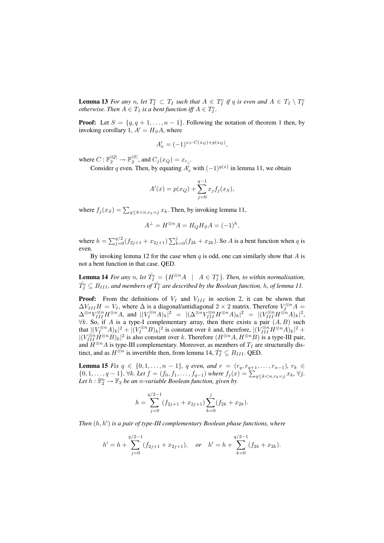**Lemma 13** For any n, let  $T_I^e \subset T_I$  such that  $A \in T_I^e$  if q is even and  $A \in T_I \setminus T_I^e$ *otherwise. Then*  $A \in T_I$  *is a bent function iff*  $A \in T_I^e$ .

**Proof:** Let  $S = \{q, q + 1, \ldots, n - 1\}$ . Following the notation of theorem 1 then, by invoking corollary 1,  $A' = H<sub>S</sub>A$ , where

$$
A'_x = (-1)^{x_S \cdot C(x_Q) + p(x_Q)},
$$

where  $C: \mathbb{F}_2^{|Q|} \to \mathbb{F}_2^{|S|}$ , and  $C_j(x_Q) = x_{r_j}$ .

Consider q even. Then, by equating  $A'_x$  with  $(-1)^{g(x)}$  in lemma 11, we obtain

$$
A'(x) = p(x_Q) + \sum_{j=0}^{q-1} x_j f_j(x_S),
$$

where  $f_j(x_S) = \sum_{q \le k < n, r_k = j} x_k$ . Then, by invoking lemma 11,

$$
A^{\perp} = H^{\otimes n} A = H_Q H_S A = (-1)^h,
$$

where  $h = \sum_{j=0}^{q/2} (f_{2j+1} + x_{2j+1}) \sum_{k=0}^{j} (f_{2k} + x_{2k})$ . So A is a bent function when q is even.

By invoking lemma 12 for the case when  $q$  is odd, one can similarly show that  $A$  is not a bent function in that case. QED.

**Lemma 14** For any n, let  $\hat{T}_I^e = \{H^{\otimes n}A \mid A \in T_I^e\}$ . Then, to within normalisation,  $\hat{T_I^e} \subseteq B_{III}$ , and members of  $\hat{T_I^e}$  are described by the Boolean function,  $h$ , of lemma 11.

**Proof:** From the definitions of  $V_I$  and  $V_{III}$  in section 2, it can be shown that  $\Delta V_{III}H = V_I$ , where  $\Delta$  is a diagonal/antidiagonal 2 × 2 matrix. Therefore  $V_I^{\otimes n}A =$  $\Delta^{\otimes n}V_{III}^{\otimes n}H^{\otimes n}A$ , and  $|(V_I^{\otimes n}A)_k|^2 = |(\Delta^{\otimes n}V_{III}^{\otimes n}H^{\otimes n}A)_k|^2 = |(V_{III}^{\otimes n}H^{\otimes n}A)_k|^2$ ,  $\forall k$ . So, if A is a type-I complementary array, then there exists a pair  $(A, B)$  such that  $|(V_l^{\otimes n}A)_k|^2 + |(V_l^{\otimes n}B)_k|^2$  is constant over k and, therefore,  $|(V_{III}^{\otimes n}H^{\otimes n}A)_k|^2 +$  $|(V_{III}^{\otimes n} \dot{H}^{\otimes n}B)_k|^2$  is also constant over k. Therefore  $(H^{\otimes n}A, H^{\otimes n}B)$  is a type-III pair, and  $H^{\otimes n}A$  is type-III complementary. Moreover, as members of  $T_I$  are structurally distinct, and as  $H^{\otimes n}$  is invertible then, from lemma 14,  $\hat{T}_I^e \subseteq B_{III}$ . QED.

**Lemma 15** *Fix*  $q \in \{0, 1, \ldots, n-1\}$ *, q even, and*  $r = (r_q, r_{q+1}, \ldots, r_{n-1})$ *,*  $r_k \in$ {0, 1, . . . , q − 1}, ∀k. Let  $f = (f_0, f_1, \ldots, f_{q-1})$  where  $f_j(x) = \sum_{q \leq k < n, r_k = j} x_k$ , ∀j. Let  $h: \mathbb{F}_2^n \to \mathbb{F}_2$  be an *n*-variable Boolean function, given by

$$
h = \sum_{j=0}^{q/2-1} (f_{2j+1} + x_{2j+1}) \sum_{k=0}^{j} (f_{2k} + x_{2k}).
$$

Then  $(h, h')$  is a pair of type-III complementary Boolean phase functions, where

$$
h' = h + \sum_{j=0}^{q/2-1} (f_{2j+1} + x_{2j+1}), \quad \text{or} \quad h' = h + \sum_{k=0}^{q/2-1} (f_{2k} + x_{2k}).
$$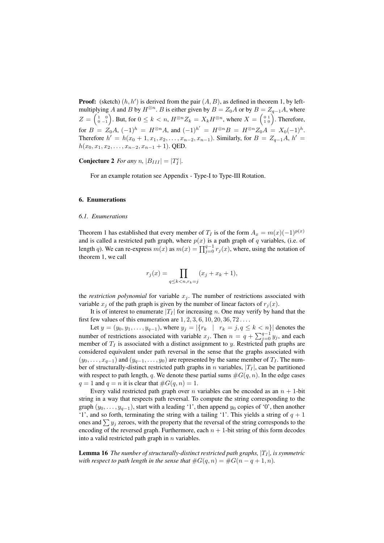**Proof:** (sketch)  $(h, h')$  is derived from the pair  $(A, B)$ , as defined in theorem 1, by leftmultiplying A and B by  $H^{\otimes n}$ . B is either given by  $B = Z_0A$  or by  $B = Z_{q-1}A$ , where  $Z = \begin{pmatrix} 1 & 0 \\ 0 & -1 \end{pmatrix}$ . But, for  $0 \le k < n$ ,  $H^{\otimes n} Z_k = X_k H^{\otimes n}$ , where  $X = \begin{pmatrix} 0 & 1 \\ 1 & 0 \end{pmatrix}$ . Therefore, for  $B = Z_0 A$ ,  $(-1)^h = H^{\otimes n} A$ , and  $(-1)^{h'} = H^{\otimes n} B = H^{\otimes n} Z_0 A = X_0 (-1)^h$ . Therefore  $h' = h(x_0 + 1, x_1, x_2, \dots, x_{n-2}, x_{n-1})$ . Similarly, for  $B = Z_{q-1}A$ ,  $h' =$  $h(x_0, x_1, x_2, \ldots, x_{n-2}, x_{n-1} + 1)$ . QED.

**Conjecture 2** For any n,  $|B_{III}| = |T_I^e|$ .

For an example rotation see Appendix - Type-I to Type-III Rotation.

#### 6. Enumerations

## *6.1. Enumerations*

Theorem 1 has established that every member of  $T_I$  is of the form  $A_x = m(x)(-1)^{p(x)}$ and is called a restricted path graph, where  $p(x)$  is a path graph of q variables, (i.e. of length q). We can re-express  $m(x)$  as  $m(x) = \prod_{j=0}^{q-1} r_j(x)$ , where, using the notation of theorem 1, we call

$$
r_j(x) = \prod_{q \le k < n, r_k = j} (x_j + x_k + 1),
$$

the *restriction polynomial* for variable  $x_j$ . The number of restrictions associated with variable  $x_j$  of the path graph is given by the number of linear factors of  $r_j(x)$ .

It is of interest to enumerate  $|T_I|$  for increasing n. One may verify by hand that the first few values of this enumeration are  $1, 2, 3, 6, 10, 20, 36, 72 \ldots$ 

Let  $y = (y_0, y_1, \dots, y_{q-1})$ , where  $y_j = |\{r_k \mid r_k = j, q \le k < n\}|$  denotes the number of restrictions associated with variable  $x_j$ . Then  $n = q + \sum_{j=0}^{q-1} y_j$ , and each member of  $T_I$  is associated with a distinct assignment to y. Restricted path graphs are considered equivalent under path reversal in the sense that the graphs associated with  $(y_0, \ldots, x_{q-1})$  and  $(y_{q-1}, \ldots, y_0)$  are represented by the same member of  $T_I$ . The number of structurally-distinct restricted path graphs in n variables,  $|T_I|$ , can be partitioned with respect to path length, q. We denote these partial sums  $#G(q, n)$ . In the edge cases  $q = 1$  and  $q = n$  it is clear that  $\#G(q, n) = 1$ .

Every valid restricted path graph over *n* variables can be encoded as an  $n + 1$ -bit string in a way that respects path reversal. To compute the string corresponding to the graph  $(y_0, \ldots, y_{q-1})$ , start with a leading '1', then append  $y_0$  copies of '0', then another '1', and so forth, terminating the string with a tailing '1'. This yields a string of  $q + 1$ ones and  $\sum y_i$  zeroes, with the property that the reversal of the string corresponds to the encoding of the reversed graph. Furthermore, each  $n + 1$ -bit string of this form decodes into a valid restricted path graph in  $n$  variables.

**Lemma 16** *The number of structurally-distinct restricted path graphs,*  $|T_I|$ *, is symmetric with respect to path length in the sense that*  $\#G(q, n) = \#G(n - q + 1, n)$ .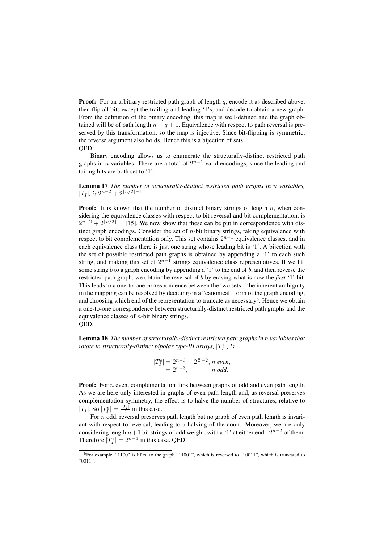**Proof:** For an arbitrary restricted path graph of length  $q$ , encode it as described above, then flip all bits except the trailing and leading '1's, and decode to obtain a new graph. From the definition of the binary encoding, this map is well-defined and the graph obtained will be of path length  $n - q + 1$ . Equivalence with respect to path reversal is preserved by this transformation, so the map is injective. Since bit-flipping is symmetric, the reverse argument also holds. Hence this is a bijection of sets. QED.

Binary encoding allows us to enumerate the structurally-distinct restricted path graphs in *n* variables. There are a total of  $2^{n-1}$  valid encodings, since the leading and tailing bits are both set to '1'.

Lemma 17 *The number of structurally-distinct restricted path graphs in* n *variables,*  $|T_I|$ *, is*  $2^{n-2} + 2^{\lfloor n/2 \rfloor - 1}$ *.* 

**Proof:** It is known that the number of distinct binary strings of length  $n$ , when considering the equivalence classes with respect to bit reversal and bit complementation, is  $2^{n-2} + 2^{\lfloor n/2 \rfloor - 1}$  [15]. We now show that these can be put in correspondence with distinct graph encodings. Consider the set of  $n$ -bit binary strings, taking equivalence with respect to bit complementation only. This set contains  $2^{n-1}$  equivalence classes, and in each equivalence class there is just one string whose leading bit is '1'. A bijection with the set of possible restricted path graphs is obtained by appending a '1' to each such string, and making this set of  $2^{n-1}$  strings equivalence class representatives. If we lift some string b to a graph encoding by appending a '1' to the end of b, and then reverse the restricted path graph, we obtain the reversal of b by erasing what is now the *first* '1' bit. This leads to a one-to-one correspondence between the two sets – the inherent ambiguity in the mapping can be resolved by deciding on a "canonical" form of the graph encoding, and choosing which end of the representation to truncate as necessary<sup>6</sup>. Hence we obtain a one-to-one correspondence between structurally-distinct restricted path graphs and the equivalence classes of  $n$ -bit binary strings. QED.

Lemma 18 *The number of structurally-distinct restricted path graphs in* n *variables that rotate to structurally-distinct bipolar type-III arrays,*  $|T_I^e|$ *, is* 

$$
|T_I^e| = 2^{n-3} + 2^{\frac{n}{2}-2}, n \text{ even},
$$
  
= 2<sup>n-3</sup>, n odd.

**Proof:** For *n* even, complementation flips between graphs of odd and even path length. As we are here only interested in graphs of even path length and, as reversal preserves complementation symmetry, the effect is to halve the number of structures, relative to  $|T_I|$ . So  $|T_I^e| = \frac{|T_I|}{2}$  in this case.

For  $n$  odd, reversal preserves path length but no graph of even path length is invariant with respect to reversal, leading to a halving of the count. Moreover, we are only considering length  $n+1$  bit strings of odd weight, with a '1' at either end -  $2^{n-2}$  of them. Therefore  $|T_I^e| = 2^{n-3}$  in this case. QED.

<sup>&</sup>lt;sup>6</sup>For example, "1100" is lifted to the graph "11001", which is reversed to "10011", which is truncated to "0011".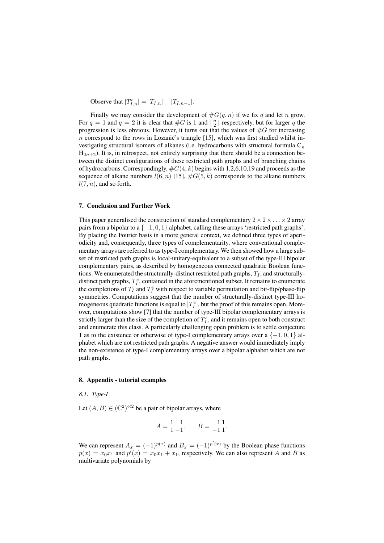Observe that  $|T_{I,n}^e| = |T_{I,n}| - |T_{I,n-1}|$ .

Finally we may consider the development of  $\#G(q, n)$  if we fix q and let n grow. For  $q = 1$  and  $q = 2$  it is clear that  $\#G$  is 1 and  $\lfloor \frac{n}{2} \rfloor$  respectively, but for larger q the progression is less obvious. However, it turns out that the values of  $\#G$  for increasing  $n$  correspond to the rows in Lozanic's triangle [15], which was first studied whilst investigating structural isomers of alkanes (i.e. hydrocarbons with structural formula  $C_n$  $H_{2n+2}$ ). It is, in retrospect, not entirely surprising that there should be a connection between the distinct configurations of these restricted path graphs and of branching chains of hydrocarbons. Correspondingly,  $#G(4, k)$  begins with 1,2,6,10,19 and proceeds as the sequence of alkane numbers  $l(6, n)$  [15],  $\#G(5, k)$  corresponds to the alkane numbers  $l(7, n)$ , and so forth.

#### 7. Conclusion and Further Work

This paper generalised the construction of standard complementary  $2 \times 2 \times \ldots \times 2$  array pairs from a bipolar to a  $\{-1, 0, 1\}$  alphabet, calling these arrays 'restricted path graphs'. By placing the Fourier basis in a more general context, we defined three types of aperiodicity and, consequently, three types of complementarity, where conventional complementary arrays are referred to as type-I complementary. We then showed how a large subset of restricted path graphs is local-unitary-equivalent to a subset of the type-III bipolar complementary pairs, as described by homogeneous connected quadratic Boolean functions. We enumerated the structurally-distinct restricted path graphs,  $T_I$ , and structurallydistinct path graphs,  $T_I^e$ , contained in the aforementioned subset. It remains to enumerate the completions of  $T_I$  and  $T_I^e$  with respect to variable permutation and bit-flip/phase-flip symmetries. Computations suggest that the number of structurally-distinct type-III homogeneous quadratic functions is equal to  $|T_I^e|$ , but the proof of this remains open. Moreover, computations show [7] that the number of type-III bipolar complementary arrays is strictly larger than the size of the completion of  $T_I^e$ , and it remains open to both construct and enumerate this class. A particularly challenging open problem is to settle conjecture 1 as to the existence or otherwise of type-I complementary arrays over a  $\{-1,0,1\}$  alphabet which are not restricted path graphs. A negative answer would immediately imply the non-existence of type-I complementary arrays over a bipolar alphabet which are not path graphs.

#### 8. Appendix - tutorial examples

#### *8.1. Type-I*

Let  $(A, B) \in (\mathbb{C}^2)^{\otimes 2}$  be a pair of bipolar arrays, where

$$
A = \begin{bmatrix} 1 & 1 \\ 1 & -1 \end{bmatrix}, \qquad B = \begin{bmatrix} 1 & 1 \\ -1 & 1 \end{bmatrix}.
$$

We can represent  $A_x = (-1)^{p(x)}$  and  $B_x = (-1)^{p'(x)}$  by the Boolean phase functions  $p(x) = x_0 x_1$  and  $p'(x) = x_0 x_1 + x_1$ , respectively. We can also represent A and B as multivariate polynomials by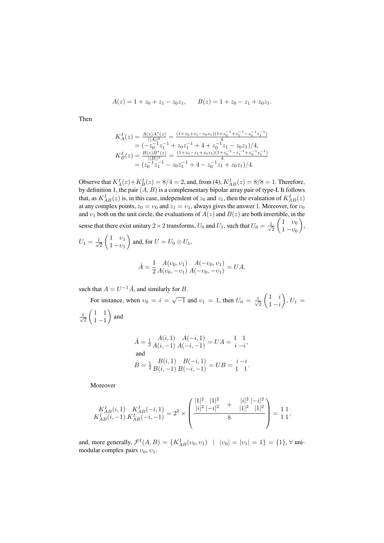$$
A(z) = 1 + z_0 + z_1 - z_0 z_1, \qquad B(z) = 1 + z_0 - z_1 + z_0 z_1.
$$

Then

$$
\begin{array}{l} K_A^I(z)=\frac{A(z)A^*(z)}{||A||^2}=\frac{(1+z_0+z_1-z_0z_1)(1+z_0^{-1}+z_1^{-1}-z_0^{-1}z_1^{-1})}{4}\\ =(-z_0^{-1}z_1^{-1}+z_0z_1^{-1}+4+z_0^{-1}z_1-z_0z_1)/4,\\ K_B^I(z)=\frac{B(z)B^*(z)}{||B||^2}=\frac{(1+z_0-z_1+z_0z_1)(1+z_0^{-1}-z_1^{-1}+z_0^{-1}z_1^{-1})}{4}\\ = (z_0^{-1}z_1^{-1}-z_0z_1^{-1}+4-z_0^{-1}z_1+z_0z_1)/4. \end{array}
$$

Observe that  $K_A^I(z) + K_B^I(z) = 8/4 = 2$ , and, from (4),  $K_{AB}^I(z) = 8/8 = 1$ . Therefore, by definition 1, the pair  $(A, B)$  is a complementary bipolar array pair of type-I. It follows that, as  $K_{AB}^{I}(z)$  is, in this case, independent of  $z_0$  and  $z_1$ , then the evaluation of  $K_{AB}^{I}(z)$ at any complex points,  $z_0 = v_0$  and  $z_1 = v_1$ , always gives the answer 1. Moreover, for  $v_0$ and  $v_1$  both on the unit circle, the evaluations of  $A(z)$  and  $B(z)$  are both invertible, in the sense that there exist unitary 2 × 2 transforms,  $U_0$  and  $U_1$ , such that  $U_0 = \frac{1}{\sqrt{2}}$  $\overline{2}$  $\begin{pmatrix} 1 & v_0 \end{pmatrix}$  $1 - v_0$  $\bigg),$  $U_1 = \frac{1}{\sqrt{2}}$ 2  $\begin{pmatrix} 1 & v_1 \end{pmatrix}$  $1 - v_1$ and, for  $U = U_0 \otimes U_1$ ,

$$
\hat{A} = \frac{1}{2} \frac{A(v_0, v_1)}{A(v_0, -v_1)} \frac{A(-v_0, v_1)}{A(-v_0, -v_1)} = UA,
$$

such that  $A = U^{-1}\hat{A}$ , and similarly for B.

For instance, when  $v_0 = i = \sqrt{-1}$  and  $v_1 = 1$ , then  $U_0 = \frac{1}{\sqrt{2}}$  $\overline{c}$  $\begin{pmatrix} 1 & i \end{pmatrix}$  $1 - i$  $\Big), U_1 =$ √ 1 2  $(1 \ 1$  $1 - 1$ ) and  $\hat{A}=\frac{1}{2}$  $A(i, 1)$   $A(-i, 1)$ <br>  $A(i, -1)$   $A(-i, -1)$  =  $UA = \begin{cases} 1 & 1 \\ i & -i \end{cases}$  $\frac{1}{i-i}$ 

and  
\n
$$
\hat{B} = \frac{1}{2} \frac{B(i,1) - B(-i,1)}{B(i,-1) - B(-i,-1)} = UB = \frac{i-i}{1-1}.
$$

Moreover

$$
\frac{K_{AB}^I(i,1)}{K_{AB}^I(i,-1)} \frac{K_{AB}^I(-i,1)}{K_{AB}^I(-i,-1)} = 2^2 \times \left( \frac{\frac{|1|^2}{|i|^2} \frac{|1|^2}{|i|^2} + \frac{|i|^2}{|1|^2} \frac{|1|^2}{|1|^2}}{8} \right) = \frac{11}{11},
$$

and, more generally,  $\mathcal{F}^{I}(A, B) = \{K_{AB}^{I}(v_0, v_1) | |v_0| = |v_1| = 1\} = \{1\}, \forall$  unimodular complex pairs  $v_0$ ,  $v_1$ .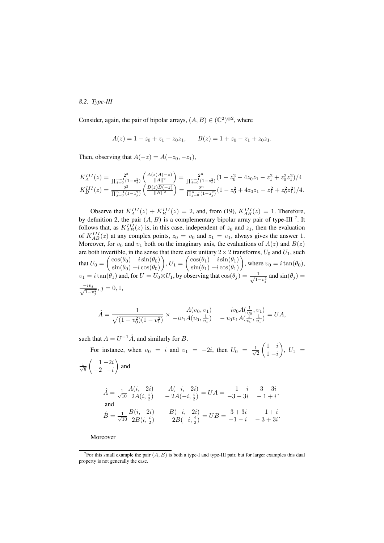## *8.2. Type-III*

Consider, again, the pair of bipolar arrays,  $(A, B) \in (\mathbb{C}^2)^{\otimes 2}$ , where

$$
A(z) = 1 + z_0 + z_1 - z_0 z_1, \qquad B(z) = 1 + z_0 - z_1 + z_0 z_1.
$$

Then, observing that  $A(-z) = A(-z_0, -z_1)$ ,

$$
K_A^{III}(z) = \frac{2^2}{\prod_{j=0}^{n-1} (1-z_j^2)} \left( \frac{A(z)\overline{A(-z)}}{||A||^2} \right) = \frac{2^n}{\prod_{j=0}^{n-1} (1-z_j^2)} \left( 1 - z_0^2 - 4z_0 z_1 - z_1^2 + z_0^2 z_1^2 \right) / 4
$$
  
\n
$$
K_B^{III}(z) = \frac{2^2}{\prod_{j=0}^{n-1} (1-z_j^2)} \left( \frac{B(z)B(-z)}{||B||^2} \right) = \frac{2^n}{\prod_{j=0}^{n-1} (1-z_j^2)} \left( 1 - z_0^2 + 4z_0 z_1 - z_1^2 + z_0^2 z_1^2 \right) / 4.
$$

Observe that  $K_A^{III}(z) + K_B^{III}(z) = 2$ , and, from (19),  $K_{AB}^{III}(z) = 1$ . Therefore, by definition 2, the pair  $(A, B)$  is a complementary bipolar array pair of type-III<sup>7</sup>. It follows that, as  $K_{AB}^{III}(z)$  is, in this case, independent of  $z_0$  and  $z_1$ , then the evaluation of  $K_{AB}^{III}(z)$  at any complex points,  $z_0 = v_0$  and  $z_1 = v_1$ , always gives the answer 1. Moreover, for  $v_0$  and  $v_1$  both on the imaginary axis, the evaluations of  $A(z)$  and  $B(z)$ are both invertible, in the sense that there exist unitary  $2 \times 2$  transforms,  $U_0$  and  $U_1$ , such that  $U_0 = \begin{pmatrix} \cos(\theta_0) & i \sin(\theta_0) \\ \sin(\theta_0) & i \cos(\theta_0) \end{pmatrix}$  $\sin(\theta_0) - i \cos(\theta_0)$  $\mathcal{U}_1 = \begin{pmatrix} \cos(\theta_1) & i \sin(\theta_1) \\ \sin(\theta_1) & i \cos(\theta_1) \end{pmatrix}$  $\sin(\theta_1) - i \cos(\theta_1)$ ), where  $v_0 = i \tan(\theta_0)$ ,  $v_1 = i \tan(\theta_1)$  and, for  $U = U_0 \otimes U_1$ , by observing that  $\cos(\theta_j) = \frac{-1}{\sqrt{1-\theta_1}}$  $\frac{1}{(1-v_j^2)}$  and  $\sin(\theta_j) =$  $\frac{-iv_j}{\sqrt{1-v_j^2}}, j=0,1,$ 

$$
\hat{A} = \frac{1}{\sqrt{(1 - v_0^2)(1 - v_1^2)}} \times \frac{A(v_0, v_1)}{-iv_1 A(v_0, \frac{1}{v_1})} - \frac{iv_0 A(\frac{1}{v_0}, v_1)}{-v_0 v_1 A(\frac{1}{v_0}, \frac{1}{v_1})} = UA,
$$

such that  $A = U^{-1}\hat{A}$ , and similarly for B.

For instance, when  $v_0 = i$  and  $v_1 = -2i$ , then  $U_0 = \frac{1}{\sqrt{2}}$ 2  $\begin{pmatrix} 1 & i \end{pmatrix}$  $1 - i$  $\Big), U_1 =$  $\frac{1}{2}$ 5  $\binom{1 - 2i}{ }$  $-2$   $-i$ ) and  $\hat{A}=\frac{1}{\sqrt{3}}$ 10  $A(i, -2i) - A(-i, -2i)$  $\begin{array}{lll} 4(i,-2i)&-A(-i,-2i)\ 2A(i,\frac{i}{2})&-2A(-i,\frac{i}{2})=UA=-3-3i&-1+i \end{array}$  $-3 - 3i$   $-1 + i$ and  $\hat{B}=\frac{1}{\sqrt{3}}$ 10  $B(i, -2i) - B(-i, -2i)$  $\begin{array}{lll} B(i,-2i)&-B(-i,-2i) \ 2B(i,\frac{i}{2})&-2B(-i,\frac{i}{2})=UB=\frac{3+3i}{-1-i} & -3+3i \end{array}$  $-1 - i - 3 + 3i$ 

Moreover

<sup>&</sup>lt;sup>7</sup>For this small example the pair  $(A, B)$  is both a type-I and type-III pair, but for larger examples this dual property is not generally the case.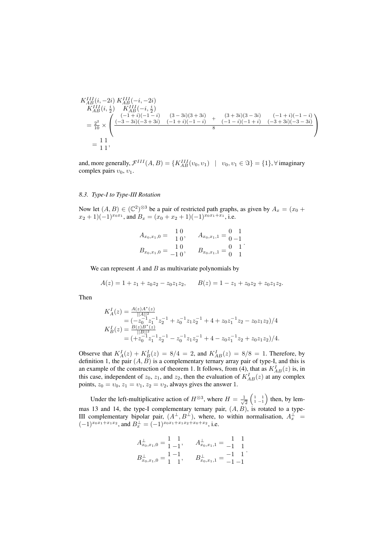$$
K_{AB}^{III}(i, -2i) K_{AB}^{III}(-i, -2i)
$$
  
\n
$$
K_{AB}^{III}(i, \frac{i}{2}) K_{AB}^{III}(-i, \frac{i}{2})
$$
  
\n
$$
= \frac{2^{2}}{10} \times \begin{pmatrix} (-1+i)(-1-i) & (3-3i)(3+3i) & (3+3i)(3-3i) & (-1+i)(-1-i) \\ (-3+3i)(-3+3i) & (-1+i)(-1-i) & (-1-i)(-1+i) & (-3+3i)(-3-3i) \\ 8 & 8 & 8 & 1 \end{pmatrix}
$$
  
\n
$$
= \frac{1}{11},
$$

and, more generally,  $\mathcal{F}^{III}(A, B) = \{K_{AB}^{III}(v_0, v_1) \mid v_0, v_1 \in \Im\} = \{1\}, \forall \text{ imaginary}$ complex pairs  $v_0$ ,  $v_1$ .

### *8.3. Type-I to Type-III Rotation*

Now let  $(A, B) \in (\mathbb{C}^2)^{\otimes 3}$  be a pair of restricted path graphs, as given by  $A_x = (x_0 +$  $(x_2+1)(-1)^{x_0x_1}$ , and  $B_x = (x_0+x_2+1)(-1)^{x_0x_1+x_1}$ , i.e.

| $A_{x_0,x_1,0}$   | 10<br>10' | $A_{x_0,x_1,1} =$ |  |
|-------------------|-----------|-------------------|--|
| $B_{x_0,x_1,0} =$ | 10        | $B_{x_0,x_1,1} =$ |  |
|                   | $-1.0$    |                   |  |

We can represent  $A$  and  $B$  as multivariate polynomials by

$$
A(z) = 1 + z_1 + z_0 z_2 - z_0 z_1 z_2, \qquad B(z) = 1 - z_1 + z_0 z_2 + z_0 z_1 z_2.
$$

Then

$$
K_A^I(z) = \frac{A(z)A^*(z)}{||A||^2}
$$
  
=  $(-z_0^{-1}z_1^{-1}z_2^{-1} + z_0^{-1}z_1z_2^{-1} + 4 + z_0z_1^{-1}z_2 - z_0z_1z_2)/4$   

$$
K_B^I(z) = \frac{B(z)B^*(z)}{||B||^2}
$$
  
=  $(+z_0^{-1}z_1^{-1}z_2^{-1} - z_0^{-1}z_1z_2^{-1} + 4 - z_0z_1^{-1}z_2 + z_0z_1z_2)/4.$ 

Observe that  $K_A^I(z) + K_B^I(z) = 8/4 = 2$ , and  $K_{AB}^I(z) = 8/8 = 1$ . Therefore, by definition 1, the pair  $(A, B)$  is a complementary ternary array pair of type-I, and this is an example of the construction of theorem 1. It follows, from (4), that as  $K_{AB}^{I}(z)$  is, in this case, independent of  $z_0$ ,  $z_1$ , and  $z_2$ , then the evaluation of  $K_{AB}^I(z)$  at any complex points,  $z_0 = v_0$ ,  $z_1 = v_1$ ,  $z_2 = v_2$ , always gives the answer 1.

Under the left-multiplicative action of  $H^{\otimes 3}$ , where  $H = \frac{1}{\sqrt{2}}$  $\frac{1}{2}$   $\begin{pmatrix} 1 & 1 \\ 1 & -1 \end{pmatrix}$  then, by lemmas 13 and 14, the type-I complementary ternary pair,  $(A, B)$ , is rotated to a type-III complementary bipolar pair,  $(A^{\perp}, B^{\perp})$ , where, to within normalisation,  $A_x^{\perp}$  =  $(-1)^{x_0x_1+x_1x_2}$ , and  $B_x^{\perp} = (-1)^{x_0x_1+x_1x_2+x_0+x_2}$ , i.e.

$$
A_{x_0,x_1,0}^{\perp} = \begin{bmatrix} 1 & 1 \\ 1 & -1 \end{bmatrix}, \qquad A_{x_0,x_1,1}^{\perp} = \begin{bmatrix} 1 & 1 \\ -1 & 1 \end{bmatrix}
$$
  

$$
B_{x_0,x_1,0}^{\perp} = \begin{bmatrix} 1 & -1 \\ 1 & 1 \end{bmatrix}, \qquad B_{x_0,x_1,1}^{\perp} = \begin{bmatrix} -1 & 1 \\ -1 & -1 \end{bmatrix}.
$$